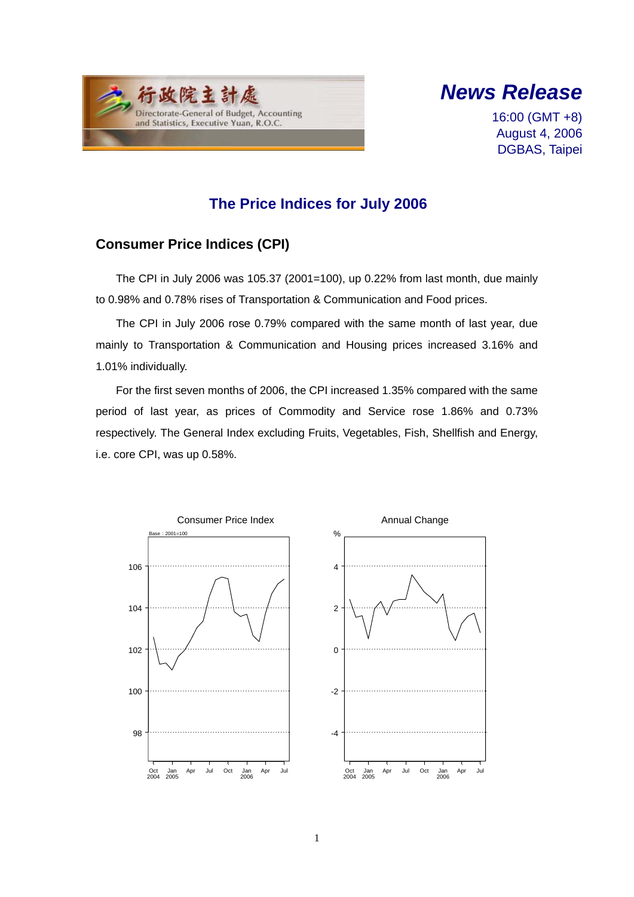



16:00 (GMT +8) August 4, 2006 DGBAS, Taipei

## **The Price Indices for July 2006**

### **Consumer Price Indices (CPI)**

The CPI in July 2006 was 105.37 (2001=100), up 0.22% from last month, due mainly to 0.98% and 0.78% rises of Transportation & Communication and Food prices.

The CPI in July 2006 rose 0.79% compared with the same month of last year, due mainly to Transportation & Communication and Housing prices increased 3.16% and 1.01% individually.

For the first seven months of 2006, the CPI increased 1.35% compared with the same period of last year, as prices of Commodity and Service rose 1.86% and 0.73% respectively. The General Index excluding Fruits, Vegetables, Fish, Shellfish and Energy, i.e. core CPI, was up 0.58%.

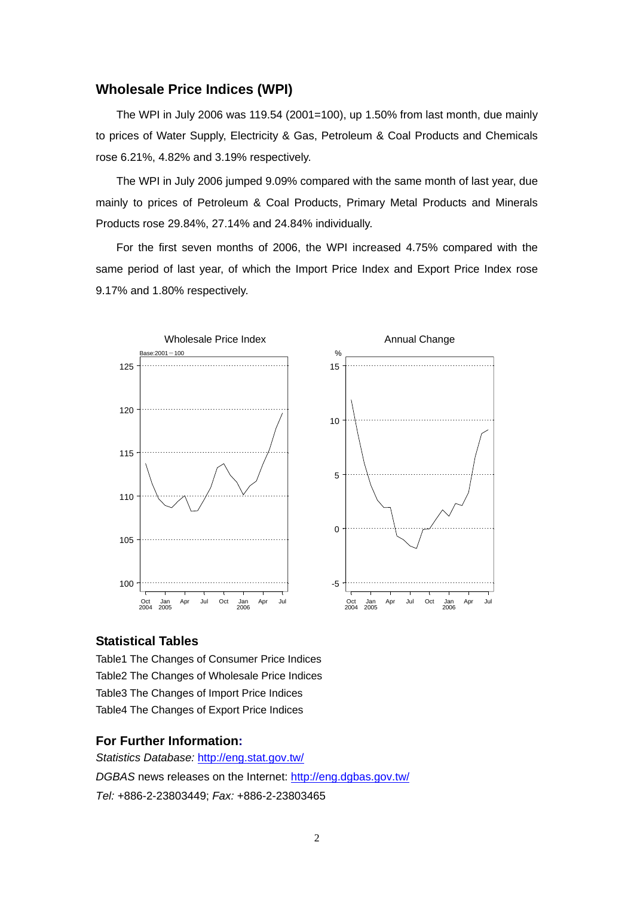### **Wholesale Price Indices (WPI)**

The WPI in July 2006 was 119.54 (2001=100), up 1.50% from last month, due mainly to prices of Water Supply, Electricity & Gas, Petroleum & Coal Products and Chemicals rose 6.21%, 4.82% and 3.19% respectively.

The WPI in July 2006 jumped 9.09% compared with the same month of last year, due mainly to prices of Petroleum & Coal Products, Primary Metal Products and Minerals Products rose 29.84%, 27.14% and 24.84% individually.

For the first seven months of 2006, the WPI increased 4.75% compared with the same period of last year, of which the Import Price Index and Export Price Index rose 9.17% and 1.80% respectively.



#### **Statistical Tables**

Table1 The Changes of Consumer Price Indices Table2 The Changes of Wholesale Price Indices Table3 The Changes of Import Price Indices Table4 The Changes of Export Price Indices

#### **For Further Information:**

*Statistics Database:* http://eng.stat.gov.tw/ *DGBAS* news releases on the Internet: http://eng.dgbas.gov.tw/ *Tel:* +886-2-23803449; *Fax:* +886-2-23803465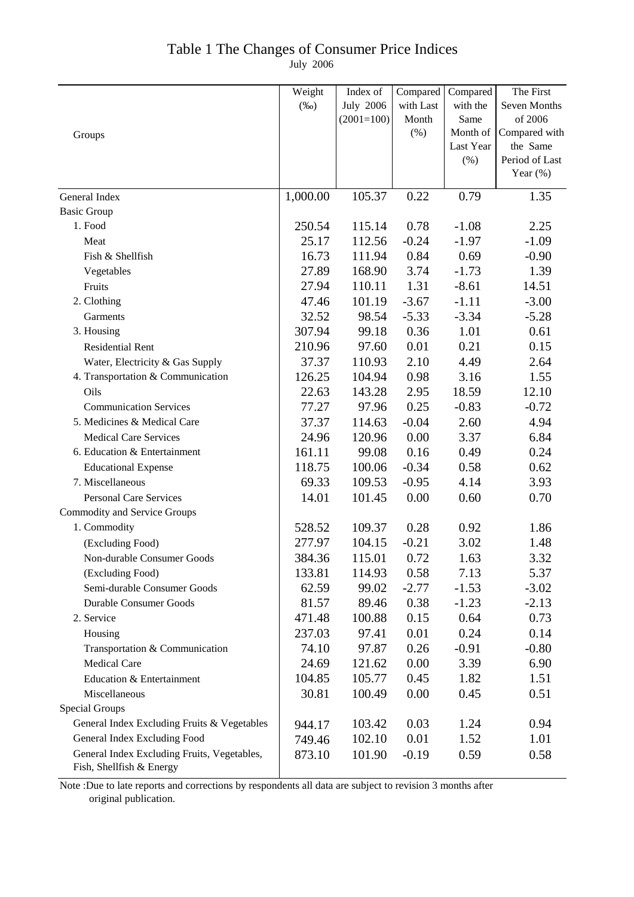## Table 1 The Changes of Consumer Price Indices

July 2006

|                                             | Weight   | Index of         | Compared  | Compared  | The First      |
|---------------------------------------------|----------|------------------|-----------|-----------|----------------|
|                                             | $(\%0)$  | <b>July 2006</b> | with Last | with the  | Seven Months   |
|                                             |          | $(2001=100)$     | Month     | Same      | of 2006        |
| Groups                                      |          |                  | (%)       | Month of  | Compared with  |
|                                             |          |                  |           | Last Year | the Same       |
|                                             |          |                  |           | (% )      | Period of Last |
|                                             |          |                  |           |           | Year $(\%)$    |
| General Index                               | 1,000.00 | 105.37           | 0.22      | 0.79      | 1.35           |
| <b>Basic Group</b>                          |          |                  |           |           |                |
| 1. Food                                     | 250.54   | 115.14           | 0.78      | $-1.08$   | 2.25           |
| Meat                                        | 25.17    | 112.56           | $-0.24$   | $-1.97$   | $-1.09$        |
| Fish & Shellfish                            | 16.73    | 111.94           | 0.84      | 0.69      | $-0.90$        |
| Vegetables                                  | 27.89    | 168.90           | 3.74      | $-1.73$   | 1.39           |
| Fruits                                      | 27.94    | 110.11           | 1.31      | $-8.61$   | 14.51          |
| 2. Clothing                                 | 47.46    | 101.19           | $-3.67$   | $-1.11$   | $-3.00$        |
| Garments                                    | 32.52    | 98.54            | $-5.33$   | $-3.34$   | $-5.28$        |
| 3. Housing                                  | 307.94   | 99.18            | 0.36      | 1.01      | 0.61           |
| <b>Residential Rent</b>                     | 210.96   | 97.60            | 0.01      | 0.21      | 0.15           |
| Water, Electricity & Gas Supply             | 37.37    | 110.93           | 2.10      | 4.49      | 2.64           |
| 4. Transportation & Communication           | 126.25   | 104.94           | 0.98      | 3.16      | 1.55           |
| Oils                                        | 22.63    | 143.28           | 2.95      | 18.59     | 12.10          |
| <b>Communication Services</b>               | 77.27    | 97.96            | 0.25      | $-0.83$   | $-0.72$        |
| 5. Medicines & Medical Care                 | 37.37    | 114.63           | $-0.04$   | 2.60      | 4.94           |
| <b>Medical Care Services</b>                | 24.96    | 120.96           | 0.00      | 3.37      | 6.84           |
| 6. Education & Entertainment                | 161.11   | 99.08            | 0.16      | 0.49      | 0.24           |
| <b>Educational Expense</b>                  | 118.75   | 100.06           | $-0.34$   | 0.58      | 0.62           |
| 7. Miscellaneous                            | 69.33    | 109.53           | $-0.95$   | 4.14      | 3.93           |
| Personal Care Services                      | 14.01    | 101.45           | 0.00      | 0.60      | 0.70           |
| <b>Commodity and Service Groups</b>         |          |                  |           |           |                |
| 1. Commodity                                | 528.52   | 109.37           | 0.28      | 0.92      | 1.86           |
| (Excluding Food)                            | 277.97   | 104.15           | $-0.21$   | 3.02      | 1.48           |
| Non-durable Consumer Goods                  | 384.36   | 115.01           | 0.72      | 1.63      | 3.32           |
| (Excluding Food)                            | 133.81   | 114.93           | 0.58      | 7.13      | 5.37           |
| Semi-durable Consumer Goods                 | 62.59    | 99.02            | $-2.77$   | $-1.53$   | $-3.02$        |
| Durable Consumer Goods                      | 81.57    | 89.46            | 0.38      | $-1.23$   | $-2.13$        |
| 2. Service                                  | 471.48   | 100.88           | 0.15      | 0.64      | 0.73           |
| Housing                                     | 237.03   | 97.41            | 0.01      | 0.24      | 0.14           |
| Transportation & Communication              | 74.10    | 97.87            | 0.26      | $-0.91$   | $-0.80$        |
| <b>Medical Care</b>                         | 24.69    | 121.62           | 0.00      | 3.39      | 6.90           |
| Education & Entertainment                   | 104.85   | 105.77           | 0.45      | 1.82      | 1.51           |
| Miscellaneous                               | 30.81    | 100.49           | 0.00      | 0.45      | 0.51           |
| <b>Special Groups</b>                       |          |                  |           |           |                |
| General Index Excluding Fruits & Vegetables | 944.17   | 103.42           | 0.03      | 1.24      | 0.94           |
| General Index Excluding Food                | 749.46   | 102.10           | 0.01      | 1.52      | 1.01           |
| General Index Excluding Fruits, Vegetables, | 873.10   | 101.90           | $-0.19$   | 0.59      | 0.58           |
| Fish, Shellfish & Energy                    |          |                  |           |           |                |

Note :Due to late reports and corrections by respondents all data are subject to revision 3 months after original publication.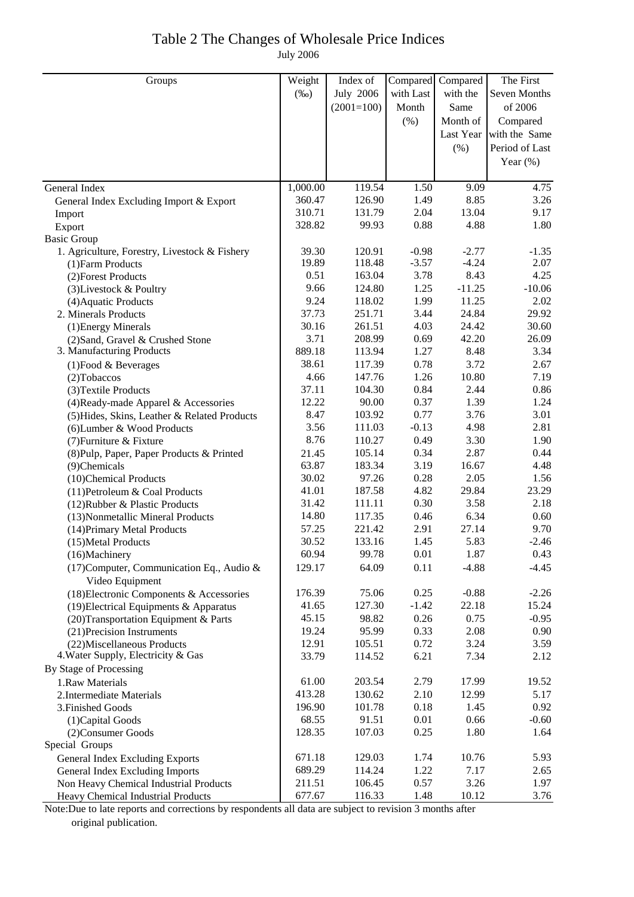## Table 2 The Changes of Wholesale Price Indices July 2006

| Groups                                                           | Weight         | Index of         | Compared     | Compared      | The First               |
|------------------------------------------------------------------|----------------|------------------|--------------|---------------|-------------------------|
|                                                                  | $(\%0)$        | <b>July 2006</b> | with Last    | with the      | <b>Seven Months</b>     |
|                                                                  |                | $(2001=100)$     | Month        | Same          | of 2006                 |
|                                                                  |                |                  | (% )         | Month of      | Compared                |
|                                                                  |                |                  |              |               | Last Year with the Same |
|                                                                  |                |                  |              | $(\% )$       | Period of Last          |
|                                                                  |                |                  |              |               | Year $(\%)$             |
|                                                                  |                |                  |              |               |                         |
| General Index                                                    | 1,000.00       | 119.54           | 1.50         | 9.09          | 4.75                    |
| General Index Excluding Import & Export                          | 360.47         | 126.90           | 1.49         | 8.85          | 3.26                    |
| Import                                                           | 310.71         | 131.79           | 2.04         | 13.04         | 9.17                    |
| Export                                                           | 328.82         | 99.93            | 0.88         | 4.88          | 1.80                    |
| <b>Basic Group</b>                                               |                |                  |              |               |                         |
| 1. Agriculture, Forestry, Livestock & Fishery                    | 39.30          | 120.91           | $-0.98$      | $-2.77$       | $-1.35$                 |
| (1) Farm Products                                                | 19.89          | 118.48           | $-3.57$      | $-4.24$       | 2.07                    |
| (2) Forest Products                                              | 0.51           | 163.04           | 3.78         | 8.43          | 4.25                    |
| (3) Livestock & Poultry                                          | 9.66           | 124.80           | 1.25         | $-11.25$      | $-10.06$                |
| (4) Aquatic Products                                             | 9.24           | 118.02           | 1.99         | 11.25         | 2.02                    |
| 2. Minerals Products                                             | 37.73          | 251.71           | 3.44         | 24.84         | 29.92                   |
| (1) Energy Minerals                                              | 30.16          | 261.51           | 4.03         | 24.42         | 30.60                   |
| (2) Sand, Gravel & Crushed Stone                                 | 3.71           | 208.99           | 0.69         | 42.20         | 26.09                   |
| 3. Manufacturing Products                                        | 889.18         | 113.94           | 1.27         | 8.48          | 3.34                    |
| $(1)$ Food & Beverages                                           | 38.61          | 117.39           | 0.78         | 3.72          | 2.67                    |
| (2) Tobaccos                                                     | 4.66           | 147.76           | 1.26         | 10.80         | 7.19                    |
| (3) Textile Products                                             | 37.11          | 104.30           | 0.84         | 2.44          | 0.86                    |
| (4) Ready-made Apparel & Accessories                             | 12.22          | 90.00            | 0.37         | 1.39          | 1.24                    |
| (5) Hides, Skins, Leather & Related Products                     | 8.47           | 103.92           | 0.77         | 3.76          | 3.01                    |
| (6) Lumber & Wood Products                                       | 3.56           | 111.03           | $-0.13$      | 4.98          | 2.81                    |
| (7) Furniture & Fixture                                          | 8.76           | 110.27           | 0.49         | 3.30          | 1.90                    |
| (8) Pulp, Paper, Paper Products & Printed                        | 21.45<br>63.87 | 105.14           | 0.34<br>3.19 | 2.87          | 0.44                    |
| (9)Chemicals                                                     | 30.02          | 183.34<br>97.26  | 0.28         | 16.67<br>2.05 | 4.48<br>1.56            |
| (10)Chemical Products                                            | 41.01          | 187.58           | 4.82         | 29.84         | 23.29                   |
| (11) Petroleum & Coal Products<br>(12) Rubber & Plastic Products | 31.42          | 111.11           | 0.30         | 3.58          | 2.18                    |
| (13) Nonmetallic Mineral Products                                | 14.80          | 117.35           | 0.46         | 6.34          | 0.60                    |
| (14) Primary Metal Products                                      | 57.25          | 221.42           | 2.91         | 27.14         | 9.70                    |
| (15) Metal Products                                              | 30.52          | 133.16           | 1.45         | 5.83          | $-2.46$                 |
| (16)Machinery                                                    | 60.94          | 99.78            | 0.01         | 1.87          | 0.43                    |
| (17) Computer, Communication Eq., Audio &                        | 129.17         | 64.09            | 0.11         | $-4.88$       | $-4.45$                 |
| Video Equipment                                                  |                |                  |              |               |                         |
| (18) Electronic Components & Accessories                         | 176.39         | 75.06            | 0.25         | $-0.88$       | $-2.26$                 |
| $(19)$ Electrical Equipments & Apparatus                         | 41.65          | 127.30           | $-1.42$      | 22.18         | 15.24                   |
| (20) Transportation Equipment & Parts                            | 45.15          | 98.82            | 0.26         | 0.75          | $-0.95$                 |
| (21) Precision Instruments                                       | 19.24          | 95.99            | 0.33         | 2.08          | 0.90                    |
| (22) Miscellaneous Products                                      | 12.91          | 105.51           | 0.72         | 3.24          | 3.59                    |
| 4. Water Supply, Electricity & Gas                               | 33.79          | 114.52           | 6.21         | 7.34          | 2.12                    |
| By Stage of Processing                                           |                |                  |              |               |                         |
| 1.Raw Materials                                                  | 61.00          | 203.54           | 2.79         | 17.99         | 19.52                   |
| 2. Intermediate Materials                                        | 413.28         | 130.62           | 2.10         | 12.99         | 5.17                    |
| 3. Finished Goods                                                | 196.90         | 101.78           | 0.18         | 1.45          | 0.92                    |
| (1) Capital Goods                                                | 68.55          | 91.51            | 0.01         | 0.66          | $-0.60$                 |
| (2) Consumer Goods                                               | 128.35         | 107.03           | 0.25         | 1.80          | 1.64                    |
| Special Groups                                                   |                |                  |              |               |                         |
| General Index Excluding Exports                                  | 671.18         | 129.03           | 1.74         | 10.76         | 5.93                    |
| <b>General Index Excluding Imports</b>                           | 689.29         | 114.24           | 1.22         | 7.17          | 2.65                    |
| Non Heavy Chemical Industrial Products                           | 211.51         | 106.45           | 0.57         | 3.26          | 1.97                    |
| Heavy Chemical Industrial Products                               | 677.67         | 116.33           | 1.48         | 10.12         | 3.76                    |

Note:Due to late reports and corrections by respondents all data are subject to revision 3 months after original publication.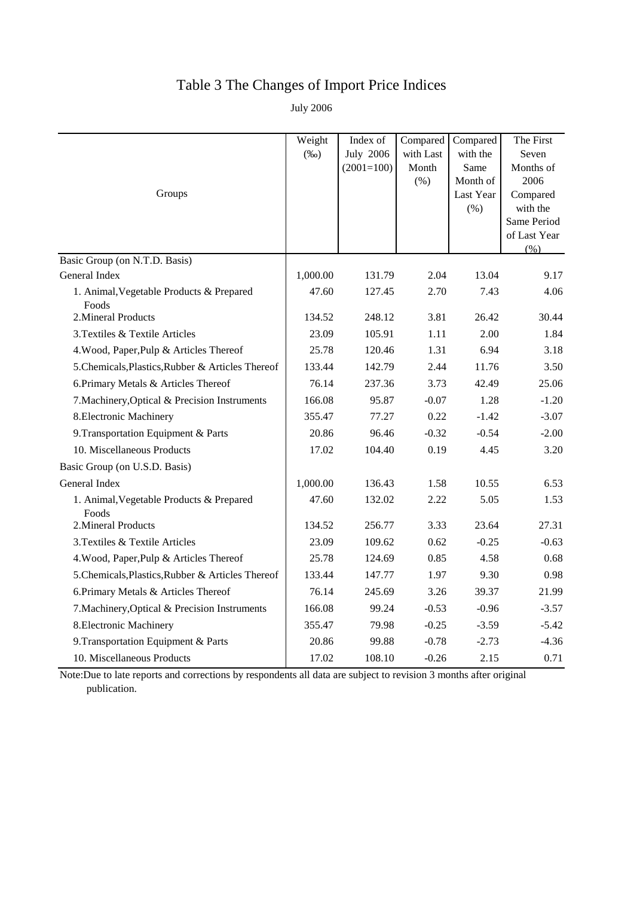# Table 3 The Changes of Import Price Indices

July 2006

|                                                   | Weight   | Index of         | Compared  | Compared  | The First               |
|---------------------------------------------------|----------|------------------|-----------|-----------|-------------------------|
|                                                   | $(\%0)$  | <b>July 2006</b> | with Last | with the  | Seven                   |
|                                                   |          | $(2001=100)$     | Month     | Same      | Months of               |
|                                                   |          |                  | (% )      | Month of  | 2006                    |
| Groups                                            |          |                  |           | Last Year | Compared                |
|                                                   |          |                  |           | (% )      | with the<br>Same Period |
|                                                   |          |                  |           |           | of Last Year            |
|                                                   |          |                  |           |           | (% )                    |
| Basic Group (on N.T.D. Basis)                     |          |                  |           |           |                         |
| General Index                                     | 1,000.00 | 131.79           | 2.04      | 13.04     | 9.17                    |
| 1. Animal, Vegetable Products & Prepared<br>Foods | 47.60    | 127.45           | 2.70      | 7.43      | 4.06                    |
| 2. Mineral Products                               | 134.52   | 248.12           | 3.81      | 26.42     | 30.44                   |
| 3. Textiles & Textile Articles                    | 23.09    | 105.91           | 1.11      | 2.00      | 1.84                    |
| 4. Wood, Paper, Pulp & Articles Thereof           | 25.78    | 120.46           | 1.31      | 6.94      | 3.18                    |
| 5. Chemicals, Plastics, Rubber & Articles Thereof | 133.44   | 142.79           | 2.44      | 11.76     | 3.50                    |
| 6. Primary Metals & Articles Thereof              | 76.14    | 237.36           | 3.73      | 42.49     | 25.06                   |
| 7. Machinery, Optical & Precision Instruments     | 166.08   | 95.87            | $-0.07$   | 1.28      | $-1.20$                 |
| 8. Electronic Machinery                           | 355.47   | 77.27            | 0.22      | $-1.42$   | $-3.07$                 |
| 9. Transportation Equipment & Parts               | 20.86    | 96.46            | $-0.32$   | $-0.54$   | $-2.00$                 |
| 10. Miscellaneous Products                        | 17.02    | 104.40           | 0.19      | 4.45      | 3.20                    |
| Basic Group (on U.S.D. Basis)                     |          |                  |           |           |                         |
| General Index                                     | 1,000.00 | 136.43           | 1.58      | 10.55     | 6.53                    |
| 1. Animal, Vegetable Products & Prepared<br>Foods | 47.60    | 132.02           | 2.22      | 5.05      | 1.53                    |
| 2. Mineral Products                               | 134.52   | 256.77           | 3.33      | 23.64     | 27.31                   |
| 3. Textiles & Textile Articles                    | 23.09    | 109.62           | 0.62      | $-0.25$   | $-0.63$                 |
| 4. Wood, Paper, Pulp & Articles Thereof           | 25.78    | 124.69           | 0.85      | 4.58      | 0.68                    |
| 5. Chemicals, Plastics, Rubber & Articles Thereof | 133.44   | 147.77           | 1.97      | 9.30      | 0.98                    |
| 6. Primary Metals & Articles Thereof              | 76.14    | 245.69           | 3.26      | 39.37     | 21.99                   |
| 7. Machinery, Optical & Precision Instruments     | 166.08   | 99.24            | $-0.53$   | $-0.96$   | $-3.57$                 |
| 8. Electronic Machinery                           | 355.47   | 79.98            | $-0.25$   | $-3.59$   | $-5.42$                 |
| 9. Transportation Equipment & Parts               | 20.86    | 99.88            | $-0.78$   | $-2.73$   | $-4.36$                 |
| 10. Miscellaneous Products                        | 17.02    | 108.10           | $-0.26$   | 2.15      | 0.71                    |

Note:Due to late reports and corrections by respondents all data are subject to revision 3 months after original publication.